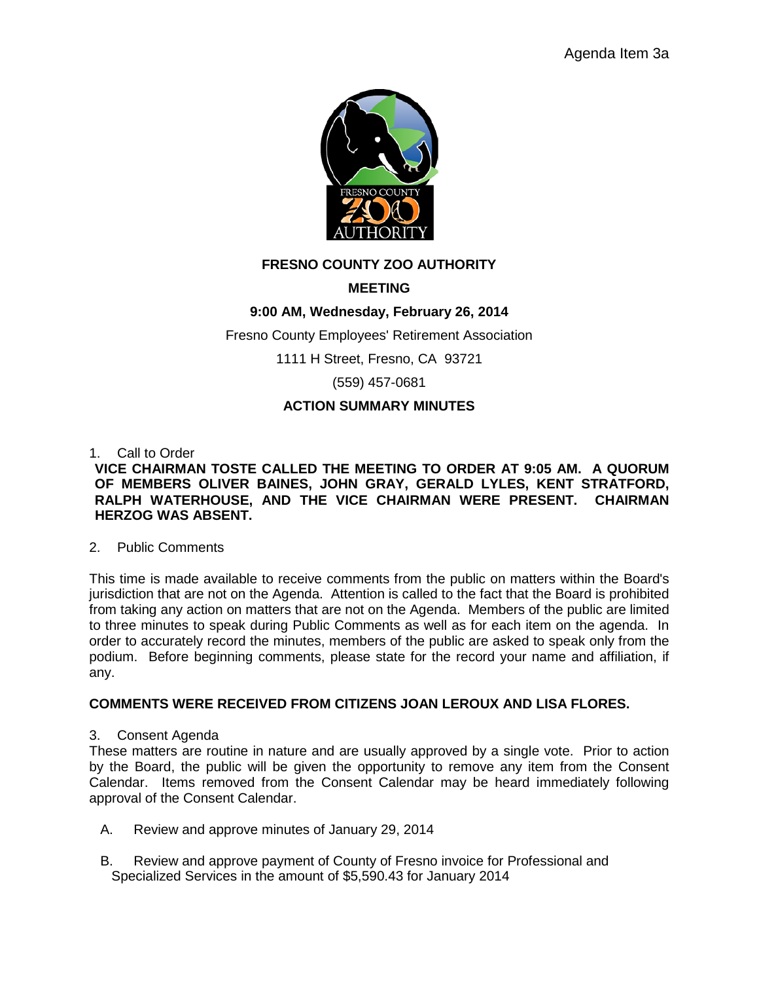

# **FRESNO COUNTY ZOO AUTHORITY**

# **MEETING**

# **9:00 AM, Wednesday, February 26, 2014**

Fresno County Employees' Retirement Association

1111 H Street, Fresno, CA 93721

(559) 457-0681

# **ACTION SUMMARY MINUTES**

### 1. Call to Order

### **VICE CHAIRMAN TOSTE CALLED THE MEETING TO ORDER AT 9:05 AM. A QUORUM OF MEMBERS OLIVER BAINES, JOHN GRAY, GERALD LYLES, KENT STRATFORD, RALPH WATERHOUSE, AND THE VICE CHAIRMAN WERE PRESENT. CHAIRMAN HERZOG WAS ABSENT.**

#### 2. Public Comments

This time is made available to receive comments from the public on matters within the Board's jurisdiction that are not on the Agenda. Attention is called to the fact that the Board is prohibited from taking any action on matters that are not on the Agenda. Members of the public are limited to three minutes to speak during Public Comments as well as for each item on the agenda. In order to accurately record the minutes, members of the public are asked to speak only from the podium. Before beginning comments, please state for the record your name and affiliation, if any.

#### **COMMENTS WERE RECEIVED FROM CITIZENS JOAN LEROUX AND LISA FLORES.**

3. Consent Agenda

These matters are routine in nature and are usually approved by a single vote. Prior to action by the Board, the public will be given the opportunity to remove any item from the Consent Calendar. Items removed from the Consent Calendar may be heard immediately following approval of the Consent Calendar.

- A. Review and approve minutes of January 29, 2014
- B. Review and approve payment of County of Fresno invoice for Professional and Specialized Services in the amount of \$5,590.43 for January 2014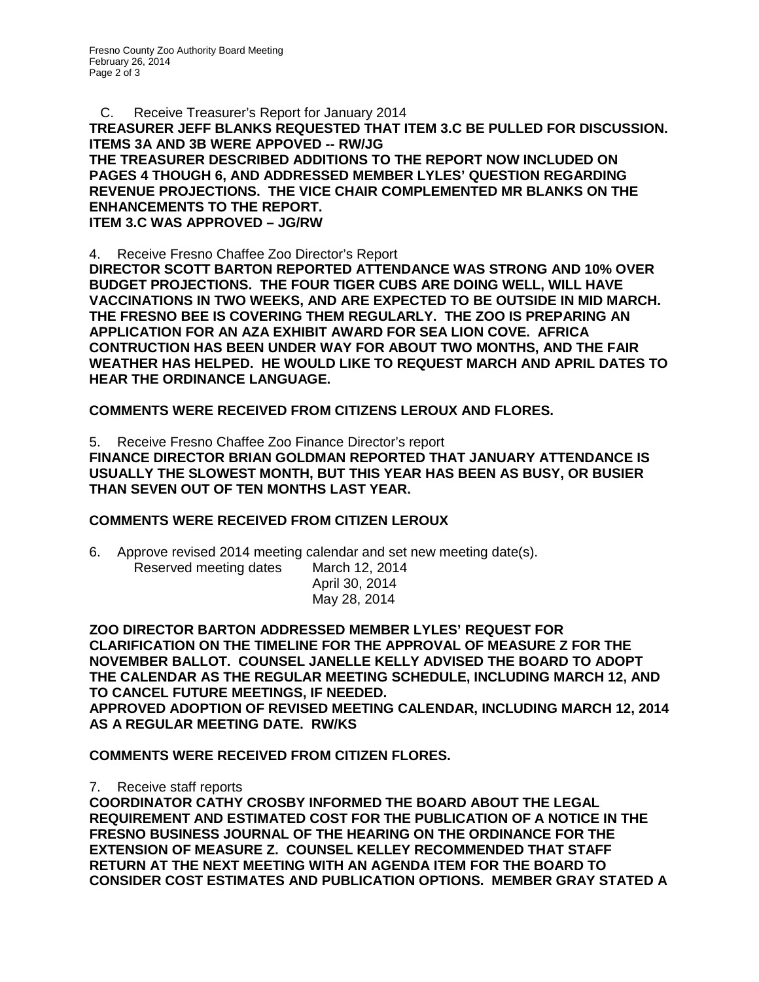C. Receive Treasurer's Report for January 2014 **TREASURER JEFF BLANKS REQUESTED THAT ITEM 3.C BE PULLED FOR DISCUSSION. ITEMS 3A AND 3B WERE APPOVED -- RW/JG THE TREASURER DESCRIBED ADDITIONS TO THE REPORT NOW INCLUDED ON PAGES 4 THOUGH 6, AND ADDRESSED MEMBER LYLES' QUESTION REGARDING REVENUE PROJECTIONS. THE VICE CHAIR COMPLEMENTED MR BLANKS ON THE ENHANCEMENTS TO THE REPORT. ITEM 3.C WAS APPROVED – JG/RW**

4. Receive Fresno Chaffee Zoo Director's Report

**DIRECTOR SCOTT BARTON REPORTED ATTENDANCE WAS STRONG AND 10% OVER BUDGET PROJECTIONS. THE FOUR TIGER CUBS ARE DOING WELL, WILL HAVE VACCINATIONS IN TWO WEEKS, AND ARE EXPECTED TO BE OUTSIDE IN MID MARCH. THE FRESNO BEE IS COVERING THEM REGULARLY. THE ZOO IS PREPARING AN APPLICATION FOR AN AZA EXHIBIT AWARD FOR SEA LION COVE. AFRICA CONTRUCTION HAS BEEN UNDER WAY FOR ABOUT TWO MONTHS, AND THE FAIR WEATHER HAS HELPED. HE WOULD LIKE TO REQUEST MARCH AND APRIL DATES TO HEAR THE ORDINANCE LANGUAGE.**

**COMMENTS WERE RECEIVED FROM CITIZENS LEROUX AND FLORES.**

5. Receive Fresno Chaffee Zoo Finance Director's report **FINANCE DIRECTOR BRIAN GOLDMAN REPORTED THAT JANUARY ATTENDANCE IS USUALLY THE SLOWEST MONTH, BUT THIS YEAR HAS BEEN AS BUSY, OR BUSIER THAN SEVEN OUT OF TEN MONTHS LAST YEAR.**

# **COMMENTS WERE RECEIVED FROM CITIZEN LEROUX**

6. Approve revised 2014 meeting calendar and set new meeting date(s). Reserved meeting dates March 12, 2014 April 30, 2014 May 28, 2014

**ZOO DIRECTOR BARTON ADDRESSED MEMBER LYLES' REQUEST FOR CLARIFICATION ON THE TIMELINE FOR THE APPROVAL OF MEASURE Z FOR THE NOVEMBER BALLOT. COUNSEL JANELLE KELLY ADVISED THE BOARD TO ADOPT THE CALENDAR AS THE REGULAR MEETING SCHEDULE, INCLUDING MARCH 12, AND TO CANCEL FUTURE MEETINGS, IF NEEDED. APPROVED ADOPTION OF REVISED MEETING CALENDAR, INCLUDING MARCH 12, 2014 AS A REGULAR MEETING DATE. RW/KS**

**COMMENTS WERE RECEIVED FROM CITIZEN FLORES.**

7. Receive staff reports

**COORDINATOR CATHY CROSBY INFORMED THE BOARD ABOUT THE LEGAL REQUIREMENT AND ESTIMATED COST FOR THE PUBLICATION OF A NOTICE IN THE FRESNO BUSINESS JOURNAL OF THE HEARING ON THE ORDINANCE FOR THE EXTENSION OF MEASURE Z. COUNSEL KELLEY RECOMMENDED THAT STAFF RETURN AT THE NEXT MEETING WITH AN AGENDA ITEM FOR THE BOARD TO CONSIDER COST ESTIMATES AND PUBLICATION OPTIONS. MEMBER GRAY STATED A**